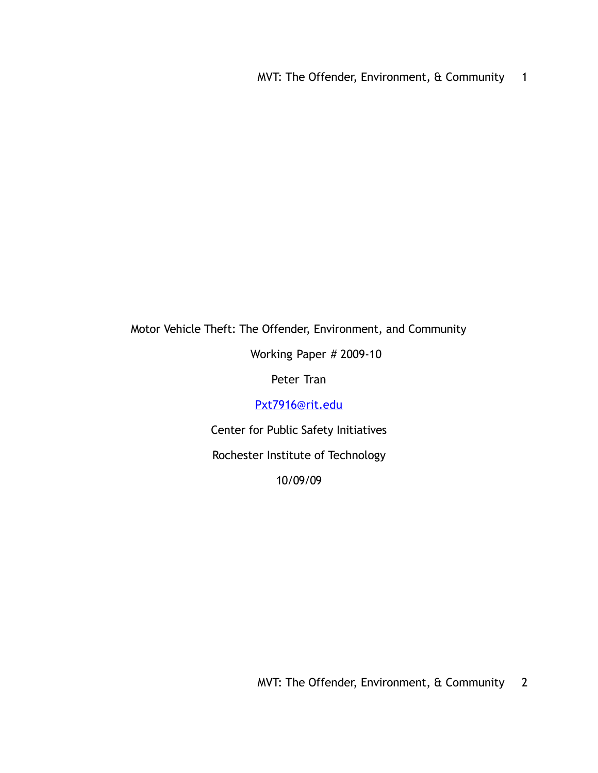MVT: The Offender, Environment, & Community 1

# Motor Vehicle Theft: The Offender, Environment, and Community

Working Paper # 2009-10

Peter Tran

[Pxt7916@rit.edu](mailto:Pxt7916@rit.edu)

Center for Public Safety Initiatives

Rochester Institute of Technology

10/09/09

MVT: The Offender, Environment, & Community 2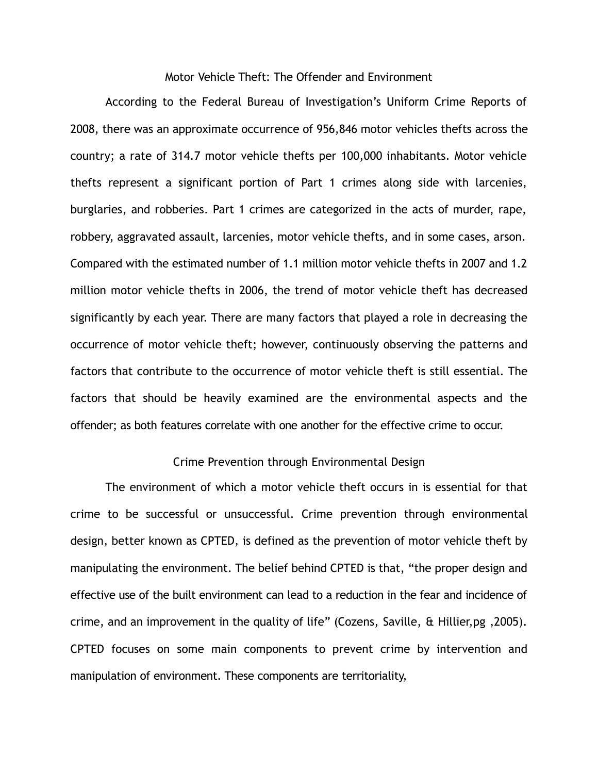## Motor Vehicle Theft: The Offender and Environment

According to the Federal Bureau of Investigation's Uniform Crime Reports of 2008, there was an approximate occurrence of 956,846 motor vehicles thefts across the country; a rate of 314.7 motor vehicle thefts per 100,000 inhabitants. Motor vehicle thefts represent a significant portion of Part 1 crimes along side with larcenies, burglaries, and robberies. Part 1 crimes are categorized in the acts of murder, rape, robbery, aggravated assault, larcenies, motor vehicle thefts, and in some cases, arson. Compared with the estimated number of 1.1 million motor vehicle thefts in 2007 and 1.2 million motor vehicle thefts in 2006, the trend of motor vehicle theft has decreased significantly by each year. There are many factors that played a role in decreasing the occurrence of motor vehicle theft; however, continuously observing the patterns and factors that contribute to the occurrence of motor vehicle theft is still essential. The factors that should be heavily examined are the environmental aspects and the offender; as both features correlate with one another for the effective crime to occur.

### Crime Prevention through Environmental Design

The environment of which a motor vehicle theft occurs in is essential for that crime to be successful or unsuccessful. Crime prevention through environmental design, better known as CPTED, is defined as the prevention of motor vehicle theft by manipulating the environment. The belief behind CPTED is that, "the proper design and effective use of the built environment can lead to a reduction in the fear and incidence of crime, and an improvement in the quality of life" (Cozens, Saville, & Hillier,pg ,2005). CPTED focuses on some main components to prevent crime by intervention and manipulation of environment. These components are territoriality,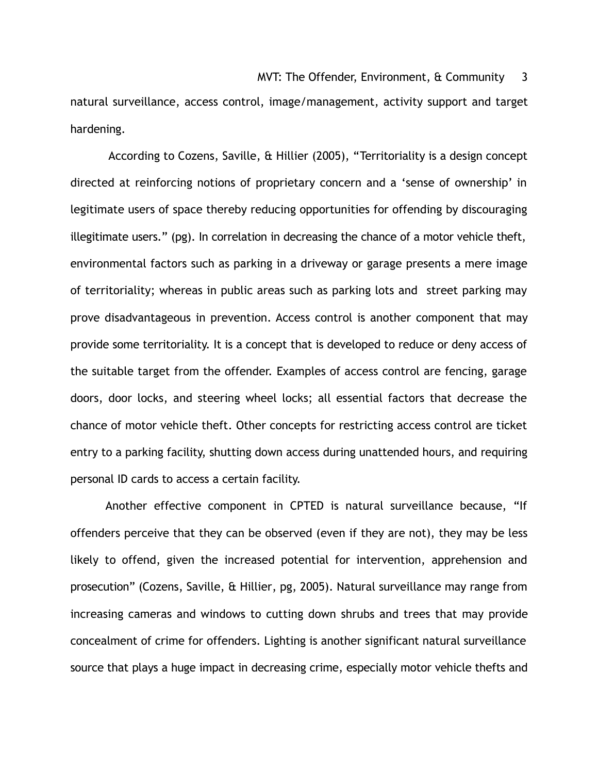natural surveillance, access control, image/management, activity support and target hardening.

 According to Cozens, Saville, & Hillier (2005), "Territoriality is a design concept directed at reinforcing notions of proprietary concern and a 'sense of ownership' in legitimate users of space thereby reducing opportunities for offending by discouraging illegitimate users." (pg). In correlation in decreasing the chance of a motor vehicle theft, environmental factors such as parking in a driveway or garage presents a mere image of territoriality; whereas in public areas such as parking lots and street parking may prove disadvantageous in prevention. Access control is another component that may provide some territoriality. It is a concept that is developed to reduce or deny access of the suitable target from the offender. Examples of access control are fencing, garage doors, door locks, and steering wheel locks; all essential factors that decrease the chance of motor vehicle theft. Other concepts for restricting access control are ticket entry to a parking facility, shutting down access during unattended hours, and requiring personal ID cards to access a certain facility.

Another effective component in CPTED is natural surveillance because, "If offenders perceive that they can be observed (even if they are not), they may be less likely to offend, given the increased potential for intervention, apprehension and prosecution" (Cozens, Saville, & Hillier, pg, 2005). Natural surveillance may range from increasing cameras and windows to cutting down shrubs and trees that may provide concealment of crime for offenders. Lighting is another significant natural surveillance source that plays a huge impact in decreasing crime, especially motor vehicle thefts and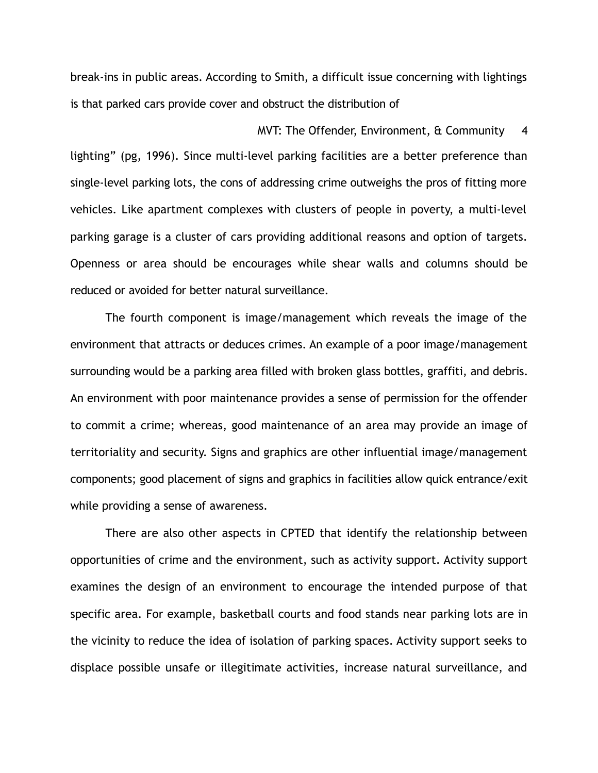break-ins in public areas. According to Smith, a difficult issue concerning with lightings is that parked cars provide cover and obstruct the distribution of

MVT: The Offender, Environment, & Community 4 lighting" (pg, 1996). Since multi-level parking facilities are a better preference than single-level parking lots, the cons of addressing crime outweighs the pros of fitting more vehicles. Like apartment complexes with clusters of people in poverty, a multi-level parking garage is a cluster of cars providing additional reasons and option of targets. Openness or area should be encourages while shear walls and columns should be reduced or avoided for better natural surveillance.

The fourth component is image/management which reveals the image of the environment that attracts or deduces crimes. An example of a poor image/management surrounding would be a parking area filled with broken glass bottles, graffiti, and debris. An environment with poor maintenance provides a sense of permission for the offender to commit a crime; whereas, good maintenance of an area may provide an image of territoriality and security. Signs and graphics are other influential image/management components; good placement of signs and graphics in facilities allow quick entrance/exit while providing a sense of awareness.

There are also other aspects in CPTED that identify the relationship between opportunities of crime and the environment, such as activity support. Activity support examines the design of an environment to encourage the intended purpose of that specific area. For example, basketball courts and food stands near parking lots are in the vicinity to reduce the idea of isolation of parking spaces. Activity support seeks to displace possible unsafe or illegitimate activities, increase natural surveillance, and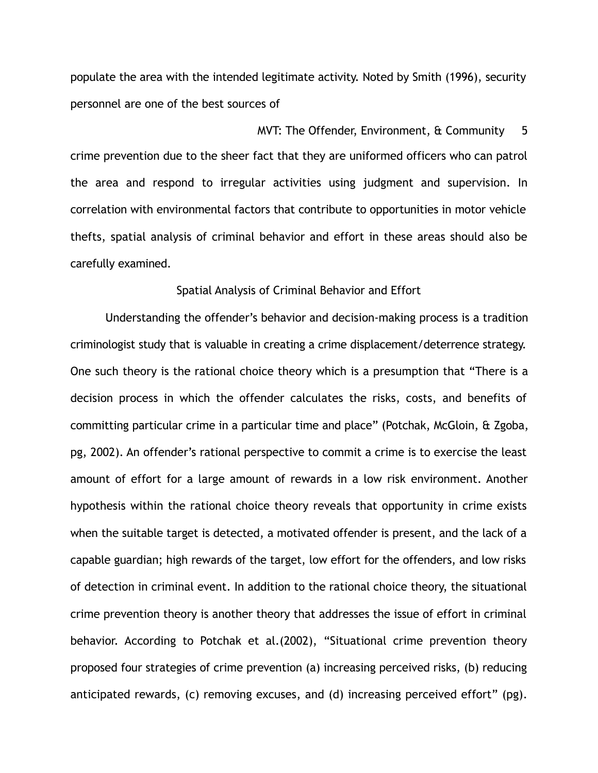populate the area with the intended legitimate activity. Noted by Smith (1996), security personnel are one of the best sources of

MVT: The Offender, Environment, & Community 5 crime prevention due to the sheer fact that they are uniformed officers who can patrol the area and respond to irregular activities using judgment and supervision. In correlation with environmental factors that contribute to opportunities in motor vehicle thefts, spatial analysis of criminal behavior and effort in these areas should also be carefully examined.

#### Spatial Analysis of Criminal Behavior and Effort

Understanding the offender's behavior and decision-making process is a tradition criminologist study that is valuable in creating a crime displacement/deterrence strategy. One such theory is the rational choice theory which is a presumption that "There is a decision process in which the offender calculates the risks, costs, and benefits of committing particular crime in a particular time and place" (Potchak, McGloin, & Zgoba, pg, 2002). An offender's rational perspective to commit a crime is to exercise the least amount of effort for a large amount of rewards in a low risk environment. Another hypothesis within the rational choice theory reveals that opportunity in crime exists when the suitable target is detected, a motivated offender is present, and the lack of a capable guardian; high rewards of the target, low effort for the offenders, and low risks of detection in criminal event. In addition to the rational choice theory, the situational crime prevention theory is another theory that addresses the issue of effort in criminal behavior. According to Potchak et al.(2002), "Situational crime prevention theory proposed four strategies of crime prevention (a) increasing perceived risks, (b) reducing anticipated rewards, (c) removing excuses, and (d) increasing perceived effort" (pg).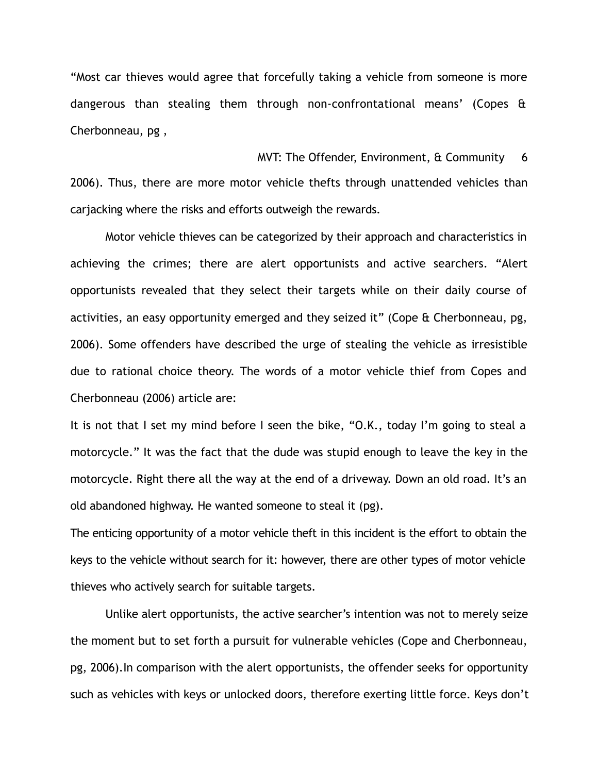"Most car thieves would agree that forcefully taking a vehicle from someone is more dangerous than stealing them through non-confrontational means' (Copes & Cherbonneau, pg ,

 $MVT:$  The Offender, Environment,  $\frac{1}{2}$  Community 6 2006). Thus, there are more motor vehicle thefts through unattended vehicles than carjacking where the risks and efforts outweigh the rewards.

Motor vehicle thieves can be categorized by their approach and characteristics in achieving the crimes; there are alert opportunists and active searchers. "Alert opportunists revealed that they select their targets while on their daily course of activities, an easy opportunity emerged and they seized it" (Cope & Cherbonneau, pg, 2006). Some offenders have described the urge of stealing the vehicle as irresistible due to rational choice theory. The words of a motor vehicle thief from Copes and Cherbonneau (2006) article are:

It is not that I set my mind before I seen the bike, "O.K., today I'm going to steal a motorcycle." It was the fact that the dude was stupid enough to leave the key in the motorcycle. Right there all the way at the end of a driveway. Down an old road. It's an old abandoned highway. He wanted someone to steal it (pg).

The enticing opportunity of a motor vehicle theft in this incident is the effort to obtain the keys to the vehicle without search for it: however, there are other types of motor vehicle thieves who actively search for suitable targets.

Unlike alert opportunists, the active searcher's intention was not to merely seize the moment but to set forth a pursuit for vulnerable vehicles (Cope and Cherbonneau, pg, 2006).In comparison with the alert opportunists, the offender seeks for opportunity such as vehicles with keys or unlocked doors, therefore exerting little force. Keys don't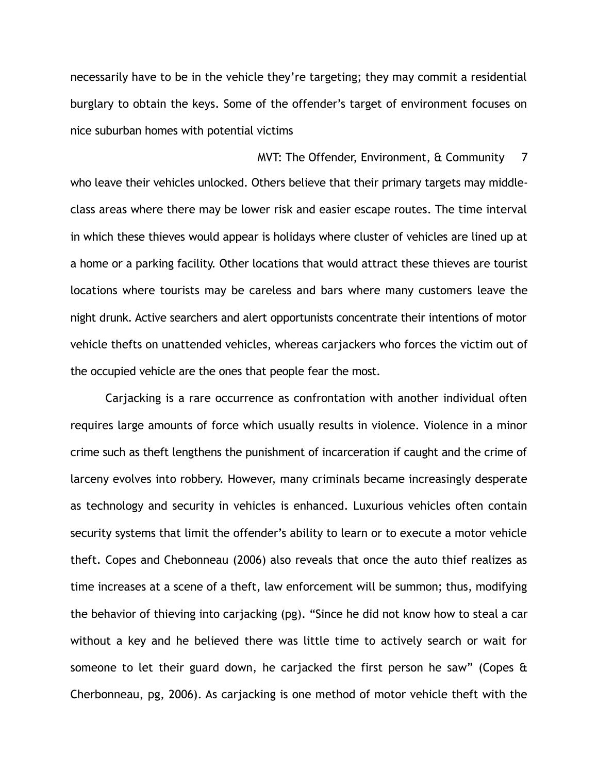necessarily have to be in the vehicle they're targeting; they may commit a residential burglary to obtain the keys. Some of the offender's target of environment focuses on nice suburban homes with potential victims

MVT: The Offender, Environment, & Community 7 who leave their vehicles unlocked. Others believe that their primary targets may middleclass areas where there may be lower risk and easier escape routes. The time interval in which these thieves would appear is holidays where cluster of vehicles are lined up at a home or a parking facility. Other locations that would attract these thieves are tourist locations where tourists may be careless and bars where many customers leave the night drunk. Active searchers and alert opportunists concentrate their intentions of motor vehicle thefts on unattended vehicles, whereas carjackers who forces the victim out of the occupied vehicle are the ones that people fear the most.

Carjacking is a rare occurrence as confrontation with another individual often requires large amounts of force which usually results in violence. Violence in a minor crime such as theft lengthens the punishment of incarceration if caught and the crime of larceny evolves into robbery. However, many criminals became increasingly desperate as technology and security in vehicles is enhanced. Luxurious vehicles often contain security systems that limit the offender's ability to learn or to execute a motor vehicle theft. Copes and Chebonneau (2006) also reveals that once the auto thief realizes as time increases at a scene of a theft, law enforcement will be summon; thus, modifying the behavior of thieving into carjacking (pg). "Since he did not know how to steal a car without a key and he believed there was little time to actively search or wait for someone to let their guard down, he carjacked the first person he saw" (Copes & Cherbonneau, pg, 2006). As carjacking is one method of motor vehicle theft with the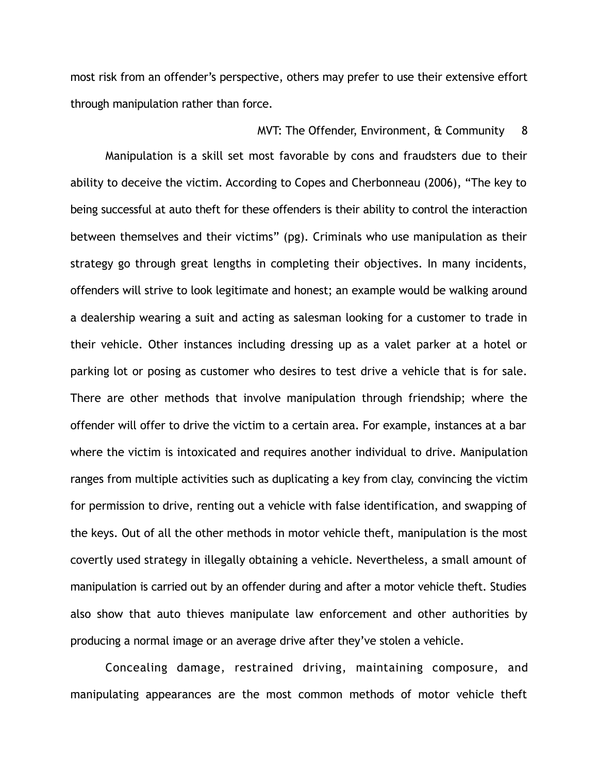most risk from an offender's perspective, others may prefer to use their extensive effort through manipulation rather than force.

### MVT: The Offender, Environment, & Community 8

Manipulation is a skill set most favorable by cons and fraudsters due to their ability to deceive the victim. According to Copes and Cherbonneau (2006), "The key to being successful at auto theft for these offenders is their ability to control the interaction between themselves and their victims" (pg). Criminals who use manipulation as their strategy go through great lengths in completing their objectives. In many incidents, offenders will strive to look legitimate and honest; an example would be walking around a dealership wearing a suit and acting as salesman looking for a customer to trade in their vehicle. Other instances including dressing up as a valet parker at a hotel or parking lot or posing as customer who desires to test drive a vehicle that is for sale. There are other methods that involve manipulation through friendship; where the offender will offer to drive the victim to a certain area. For example, instances at a bar where the victim is intoxicated and requires another individual to drive. Manipulation ranges from multiple activities such as duplicating a key from clay, convincing the victim for permission to drive, renting out a vehicle with false identification, and swapping of the keys. Out of all the other methods in motor vehicle theft, manipulation is the most covertly used strategy in illegally obtaining a vehicle. Nevertheless, a small amount of manipulation is carried out by an offender during and after a motor vehicle theft. Studies also show that auto thieves manipulate law enforcement and other authorities by producing a normal image or an average drive after they've stolen a vehicle.

Concealing damage, restrained driving, maintaining composure, and manipulating appearances are the most common methods of motor vehicle theft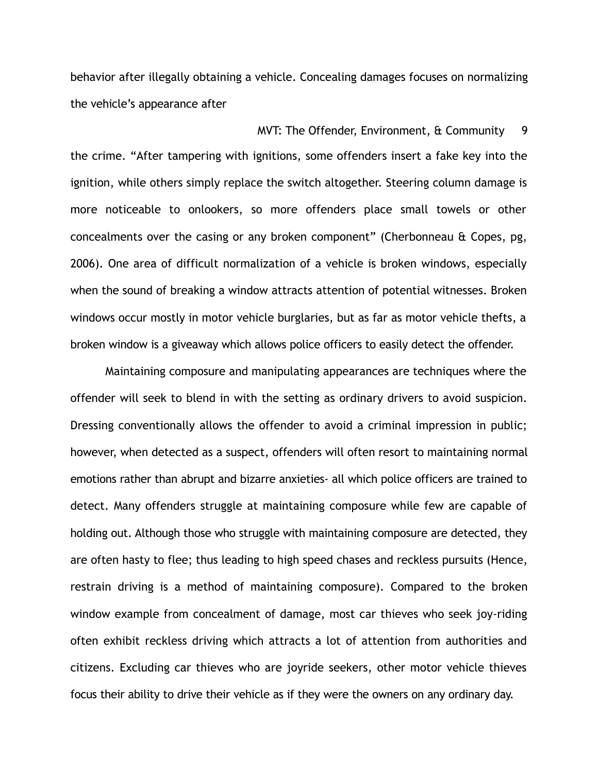behavior after illegally obtaining a vehicle. Concealing damages focuses on normalizing the vehicle's appearance after

MVT: The Offender, Environment,  $\frac{a}{b}$  Community 9 the crime. "After tampering with ignitions, some offenders insert a fake key into the ignition, while others simply replace the switch altogether. Steering column damage is more noticeable to onlookers, so more offenders place small towels or other concealments over the casing or any broken component" (Cherbonneau & Copes, pg, 2006). One area of difficult normalization of a vehicle is broken windows, especially when the sound of breaking a window attracts attention of potential witnesses. Broken windows occur mostly in motor vehicle burglaries, but as far as motor vehicle thefts, a broken window is a giveaway which allows police officers to easily detect the offender.

Maintaining composure and manipulating appearances are techniques where the offender will seek to blend in with the setting as ordinary drivers to avoid suspicion. Dressing conventionally allows the offender to avoid a criminal impression in public; however, when detected as a suspect, offenders will often resort to maintaining normal emotions rather than abrupt and bizarre anxieties- all which police officers are trained to detect. Many offenders struggle at maintaining composure while few are capable of holding out. Although those who struggle with maintaining composure are detected, they are often hasty to flee; thus leading to high speed chases and reckless pursuits (Hence, restrain driving is a method of maintaining composure). Compared to the broken window example from concealment of damage, most car thieves who seek joy-riding often exhibit reckless driving which attracts a lot of attention from authorities and citizens. Excluding car thieves who are joyride seekers, other motor vehicle thieves focus their ability to drive their vehicle as if they were the owners on any ordinary day.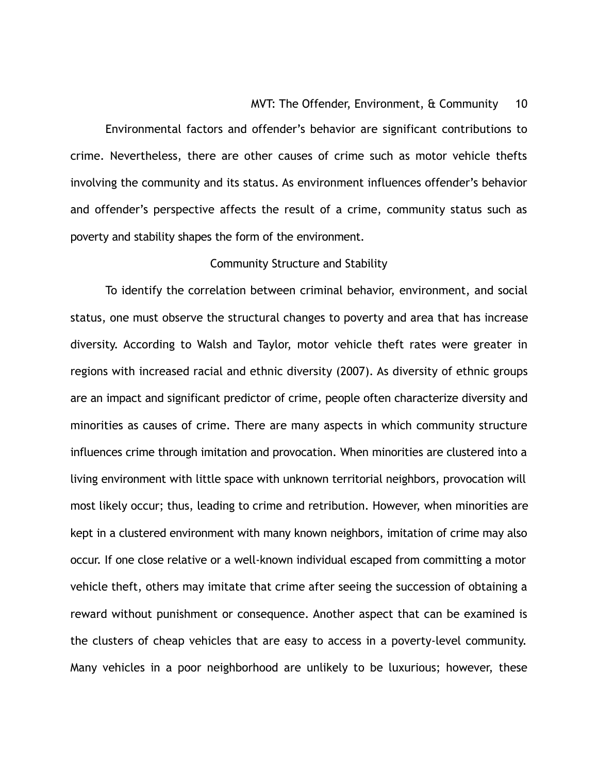### MVT: The Offender, Environment, & Community 10

Environmental factors and offender's behavior are significant contributions to crime. Nevertheless, there are other causes of crime such as motor vehicle thefts involving the community and its status. As environment influences offender's behavior and offender's perspective affects the result of a crime, community status such as poverty and stability shapes the form of the environment.

### Community Structure and Stability

To identify the correlation between criminal behavior, environment, and social status, one must observe the structural changes to poverty and area that has increase diversity. According to Walsh and Taylor, motor vehicle theft rates were greater in regions with increased racial and ethnic diversity (2007). As diversity of ethnic groups are an impact and significant predictor of crime, people often characterize diversity and minorities as causes of crime. There are many aspects in which community structure influences crime through imitation and provocation. When minorities are clustered into a living environment with little space with unknown territorial neighbors, provocation will most likely occur; thus, leading to crime and retribution. However, when minorities are kept in a clustered environment with many known neighbors, imitation of crime may also occur. If one close relative or a well-known individual escaped from committing a motor vehicle theft, others may imitate that crime after seeing the succession of obtaining a reward without punishment or consequence. Another aspect that can be examined is the clusters of cheap vehicles that are easy to access in a poverty-level community. Many vehicles in a poor neighborhood are unlikely to be luxurious; however, these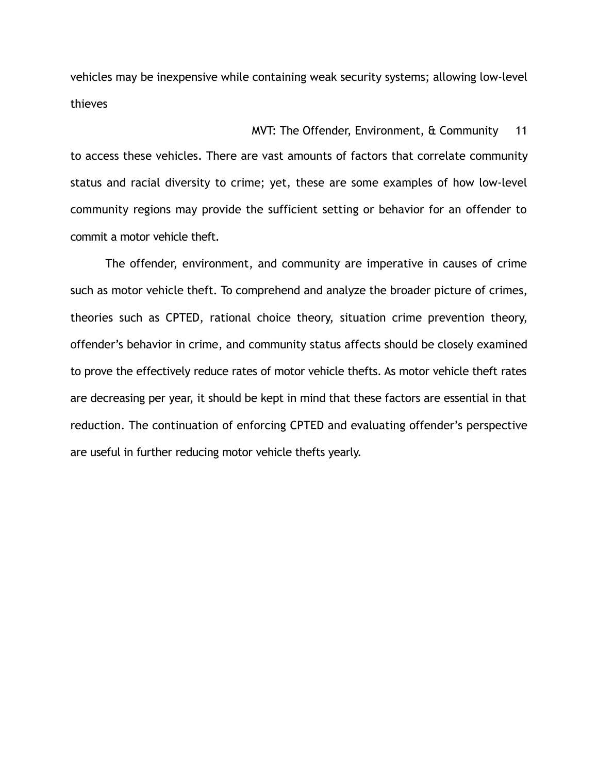vehicles may be inexpensive while containing weak security systems; allowing low-level thieves

## MVT: The Offender, Environment, & Community 11

to access these vehicles. There are vast amounts of factors that correlate community status and racial diversity to crime; yet, these are some examples of how low-level community regions may provide the sufficient setting or behavior for an offender to commit a motor vehicle theft.

The offender, environment, and community are imperative in causes of crime such as motor vehicle theft. To comprehend and analyze the broader picture of crimes, theories such as CPTED, rational choice theory, situation crime prevention theory, offender's behavior in crime, and community status affects should be closely examined to prove the effectively reduce rates of motor vehicle thefts. As motor vehicle theft rates are decreasing per year, it should be kept in mind that these factors are essential in that reduction. The continuation of enforcing CPTED and evaluating offender's perspective are useful in further reducing motor vehicle thefts yearly.